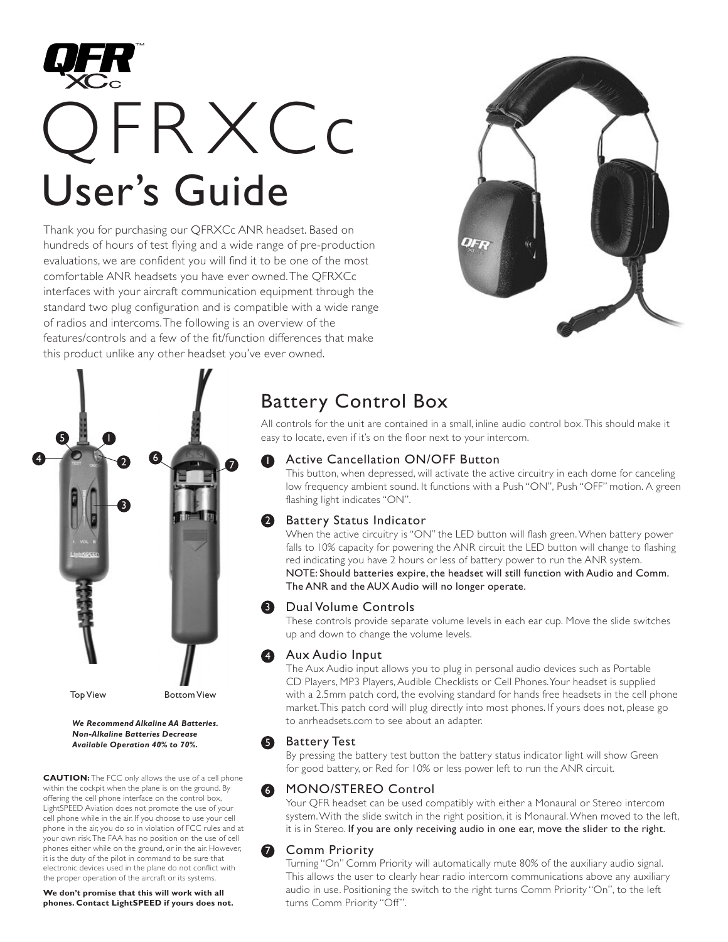

Thank you for purchasing our QFRXCc ANR headset. Based on hundreds of hours of test flying and a wide range of pre-production evaluations, we are confident you will find it to be one of the most comfortable ANR headsets you have ever owned.The QFRXCc interfaces with your aircraft communication equipment through the standard two plug configuration and is compatible with a wide range of radios and intercoms.The following is an overview of the features/controls and a few of the fit/function differences that make this product unlike any other headset you've ever owned.





*We Recommend Alkaline AA Batteries. Non-Alkaline Batteries Decrease Available Operation 40% to 70%.*

**CAUTION:** The FCC only allows the use of a cell phone within the cockpit when the plane is on the ground. By offering the cell phone interface on the control box, LightSPEED Aviation does not promote the use of your cell phone while in the air. If you choose to use your cell phone in the air, you do so in violation of FCC rules and at your own risk.The FAA has no position on the use of cell phones either while on the ground, or in the air. However, it is the duty of the pilot in command to be sure that electronic devices used in the plane do not conflict with the proper operation of the aircraft or its systems.

**We don't promise that this will work with all phones. Contact LightSPEED if yours does not.**

# Battery Control Box

All controls for the unit are contained in a small, inline audio control box.This should make it easy to locate, even if it's on the floor next to your intercom.

#### Active Cancellation ON/OFF Button ß

This button, when depressed, will activate the active circuitry in each dome for canceling low frequency ambient sound. It functions with a Push "ON", Push "OFF" motion. A green flashing light indicates "ON".

### 2 Battery Status Indicator

When the active circuitry is "ON" the LED button will flash green. When battery power falls to 10% capacity for powering the ANR circuit the LED button will change to flashing red indicating you have 2 hours or less of battery power to run the ANR system. NOTE: Should batteries expire, the headset will still function with Audio and Comm. The ANR and the AUX Audio will no longer operate.

#### **3** Dual Volume Controls

These controls provide separate volume levels in each ear cup. Move the slide switches up and down to change the volume levels.

### **4** Aux Audio Input

The Aux Audio input allows you to plug in personal audio devices such as Portable CD Players, MP3 Players, Audible Checklists or Cell Phones.Your headset is supplied with a 2.5mm patch cord, the evolving standard for hands free headsets in the cell phone market.This patch cord will plug directly into most phones. If yours does not, please go to anrheadsets.com to see about an adapter.

### **B** Battery Test

By pressing the battery test button the battery status indicator light will show Green for good battery, or Red for 10% or less power left to run the ANR circuit.

#### MONO/STEREO Control 6

Your QFR headset can be used compatibly with either a Monaural or Stereo intercom system.With the slide switch in the right position, it is Monaural. When moved to the left, it is in Stereo. If you are only receiving audio in one ear, move the slider to the right.

### Comm Priority

7

Turning "On" Comm Priority will automatically mute 80% of the auxiliary audio signal. This allows the user to clearly hear radio intercom communications above any auxiliary audio in use. Positioning the switch to the right turns Comm Priority "On", to the left turns Comm Priority "Off".